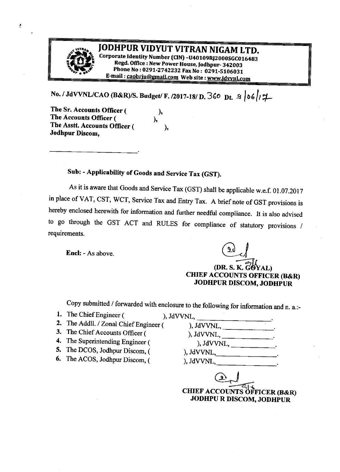

÷.

# JODHPUR VIDYUT VITRAN NIGAM LTD.

Corporate Identity Number (CIN) -U40109RJ2000SGC016483 Regd. Office : New Power House, Jodhpur- 342003 Phone No: 0291-2742232 Fax No: 0291-5106031 E-mail: caobrju@gmail.com Web site: www.jdvynl.com

No. / JdVVNL/CAO (B&R)/S. Budget/ F. /2017-18/ D. 360 Dt.  $\frac{1}{2}$  | 06/ $\frac{1}{4}$ 

 $\mathbf{)}$ 

),

The Sr. Accounts Officer ( The Accounts Officer ( ), The Asstt. Accounts Officer ( Jodhpur Discom,

#### Sub: - Applicability of Goods and Service Tax (GST).

As it is aware that Goods and Service Tax (GST) shall be applicable w.e.f. 01.07.2017 in place of VAT, CST, WCT, Service Tax and Entry Tax. A brief note of GST provisions is hereby enclosed herewith for information and further needful compliance. It is also advised to go through the GST ACT and RULES for compliance of statutory provisions / requirements.

**Encl:** - As above.

(DR. S. K. GOYAL) **CHIEF ACCOUNTS OFFICER (B&R) JODHPUR DISCOM, JODHPUR** 

Copy submitted / forwarded with enclosure to the following for information and n. a.:-

1. The Chief Engineer (

), JdVVNL,

- 2. The Addll. / Zonal Chief Engineer (
- 3. The Chief Accounts Officer (
- 4. The Superintending Engineer (
- 5. The DCOS, Jodhpur Discom, (
- 6. The ACOS, Jodhpur Discom, (

 $),$  JdVVNL $,$  $),$  JdVVNL,

), JdVVNL,

**CHIEF ACCOUNTS OFFICER (B&R) JODHPU R DISCOM, JODHPUR**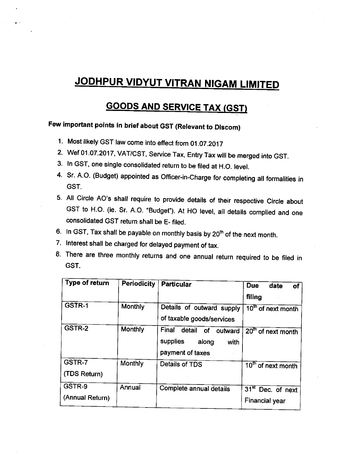# JODHPUR VIDYUT VITRAN NIGAM LIMITED

### **GOODS AND SERVICE TAX (GST)**

## Few important points in brief about GST (Relevant to Discom)

- 1. Most likely GST law come into effect from 01.07.2017
- 2. wet 01.07.2017, vAT/csr, service Tax, Entry Tax wifl be merged into GST.
- 3. ln GST, one single consolidated return to be filed at H.O. level.
- 4. Sr. A.O. (Budget) appointed as Officer-in-Charge for completing all formalities in GST.
- 5. All Circle AO's shall require to provide details of their respective Circle about GST to H.O. (ie. Sr. A.O. "Budget"). At HO level, all details complied and one consolidated GST return shall be E- filed.
- 6. In GST, Tax shall be payable on monthly basis by  $20<sup>th</sup>$  of the next month.
- 7. lnterest shall be charged for delayed payment of tax.
- 8. There are three monthly returns and one annual return required to be filed in GST.

| Type of return            | <b>Periodicity</b> | <b>Particular</b>                                                                        | <b>Due</b><br>date<br>of<br>filing           |
|---------------------------|--------------------|------------------------------------------------------------------------------------------|----------------------------------------------|
| GSTR-1                    | <b>Monthly</b>     | Details of outward supply<br>of taxable goods/services                                   | 10 <sup>th</sup> of next month               |
| GSTR-2                    | Monthly            | Final<br>detail<br><b>of</b><br>outward<br>supplies<br>along<br>with<br>payment of taxes | 20 <sup>th</sup> of next month               |
| GSTR-7<br>(TDS Return)    | Monthly            | Details of TDS                                                                           | $10th$ of next month                         |
| GSTR-9<br>(Annual Return) | Annual             | Complete annual details                                                                  | $31st$ Dec. of next<br><b>Financial year</b> |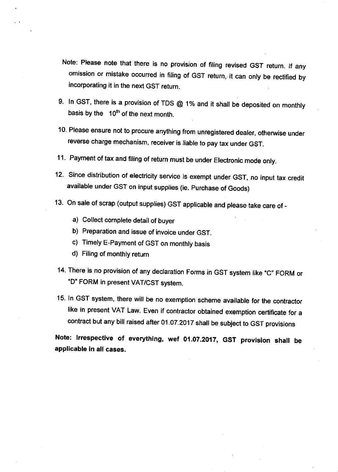- Note: Please note that there is no provision of filing revised GST return. If any omission or mistake occurred in filing of GST return, it can only be rectified by incorporating it in the next GST return.
- 9. In GST, there is a provision of TDS  $@$  1% and it shall be deposited on monthly basis by the  $10<sup>th</sup>$  of the next month.
- 10. Please ensure not to procure anything from unregistered dealer, otherwise under reverse charge mechanism, receiver is liable to pay tax under GST.
- <sup>1</sup><sup>1</sup>. Payment of tax and filing of return must be under Electronic mode only.
- 12. Since distribution of electricity service is exempt under GST, no input tax credit available under GST on input supplies (ie. Purchase of Goods)
- 13. On sale of scrap (output supplies) GST applicable and please take care of
	- a) Collect complete detail of buyer
	- b) Preparation and issue of invoice under GST.
	- c) Timely E-Payment of GST on monthly basis
	- d) Filing of monthly return
- 14. There is no provision of any declaration Forms in GST system like "C" FORM or 'D' FORM in present VAT/CST system.
- 15. In GST system, there will be no exemption scheme available for the contractor like in present VAT Law. Even if contractor obtained exemption certificate for <sup>a</sup> contract but any bill raised after 01.o7.2017 shall be subject to GST provisions

Note: lrrespective of everything, wef 01.07.2017, GST provision shail be applicable in all cases.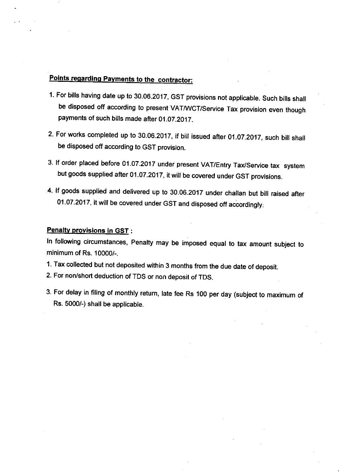#### Points regarding Payments to the contractor:

- 1. For bills having date up to 30.06.2017, GST provisions not applicable. Such bills shall be disposed off according to present VAT/WCT/Service Tax provision even though payments of such bills made after 01.07.2017.
- 2. For works completed up to 30.06.2017, if bill issued after 01.07.2017, such bill shall be disposed off according to GST provision.
- 3. If order placed before 01.07.2017 under present VAT/Entry Tax/Service tax system but goods supplied after 01.0r.2017, it wiil be covered under GST provisions.
- 4. lf goods supplied and delivered up to 30.06.2017 under challan but bill raised after 01 .07 .2017, it will be covered under GST and disposed off accordingly.

#### **Penalty provisions in GST:**

ln following circumstances, penalty may be imposed equal to tax amount subject to minimum of Rs. 10000/-.

- 1. Tax collected but not deposited within 3 months from the due date of deposit.
- 2. For non/short deduction of TDS or non deposit of TDS.
- 3. For delay in filing of monthly return, late fee Rs 100 per day (subject to maximum of Rs. 5000/-) shall be applicable.